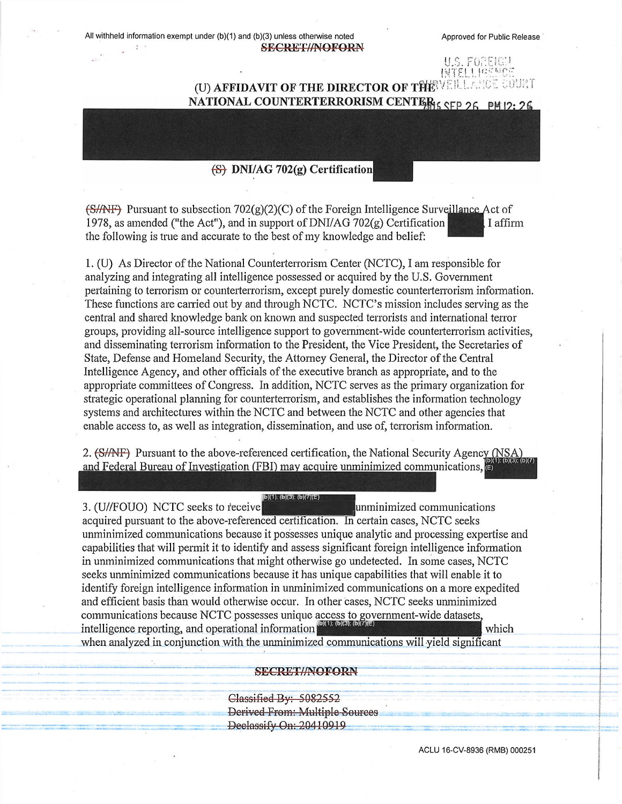All withheld information exempt under (b)(1) and (b)(3) unless otherwise noted Approved for Public Release **SEGRETWOFORN**

u.s. For INTEL! PREMEE

## (U) AFFIDAVIT OF THE DIRECTOR OF THE VEILLANCE COURT<br>NATIONAL COUNTERTERRORISM CENTER<sub>IS SEP 26</sub> PM 12: 26

## $(S)$  DNI/AG 702(g) Certification

 $(S/MF)$  Pursuant to subsection 702(g)(2)(C) of the Foreign Intelligence Surveillance Act of 1978, as amended ("the Act"), and in support of DNI/AG 702(g) Certification I affirm the following is true and accurate to the best of my knowledge and belief:

1. (U) As Director ofthe National Counterterrorism Center (NCTC), I am responsible for analyzing and integrating all intelligence possessed or acquired by the U.S. Government pertaining to terrorism or counterterrorism, except purely domestic counterterrorism information. These functions are earned out by and through NCTC. NCTC's mission includes serving as the central and shared knowledge bank on known and suspected terrorists and international terror groups, providing all-source intelligence support to government-wide counterterrorism activities, and disseminating terrorism information to the President, the Vice President, the Secretaries of State, Defense and Homeland Security, the Attorney General, the Director ofthe Central Intelligence Agency, and other officials of the executive branch as appropriate, and to the appropriate committees ofCongress. In addition, NCTC serves as the primary organization for strategic operational planning for counterterrorism, and establishes the information technology systems and architectures within the NCTC and between the NCTC and other agencies that enable access to, as well as integration, dissemination, and use of, terrorism information.

2. (S/ANF) Pursuant to the above-referenced certification, the National Security Agency (NSA) and Federal Bureau of Investigation (FBI) may acquire unminimized communications.

**[(b)(1); (b)(3); (b)(7)(E)** 3. (U//FOUO) NCTC seeks to receive^lunminimized communications acquired pursuant to the above-referenced certification. In certain cases, NCTC seeks unminimized communications because it possesses unique analytic and processing expertise and capabilities that will permit it to identify and assess significant foreign intelligence information in unminimized communications that might otherwise go undetected. In some cases, NCTC seeks unminimized communications because it has unique capabilities that will enable it to identify foreign intelligence information in unminimized communications on a more expedited and efficient basis than would otherwise occur. In other cases, NCTC seeks unminimized communications because NCTC possesses unique access to government-wide datasets, intelligence reporting, and operational information when analyzed in conjunction with the unminimized communications will yield significant  $which$ 

## **SECRETWNOFORN**

Classified By: 5082552 Derived From: Multiple Sources ■Declassify On: 20110919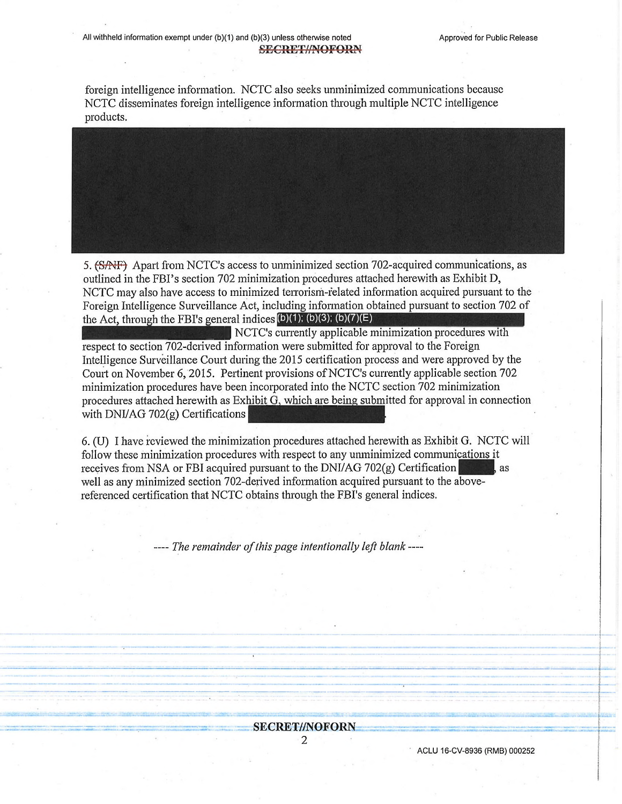foreign intelligence information. NCTC also seeks unminimized communications because NCTC disseminates foreign intelligence information through multiple NCTC intelligence products.

5. (SAFF) Apart from NCTC's access to unminimized section 702-acquired communications, as outlined in the FBI's section 702 minimization procedures attached herewith as Exhibit D, NCTC may also have access to minimized terrorism-related information acquired pursuant to the Foreign Intelligence Surveillance Act, including information obtained pursuant to section 702 of

the Act, through the FBI's general indices  $(b)(1)$ ;  $(b)(3)$ ;  $(b)(7)(E)$ <br>NCTC's currently applicable minimization procedures with respect to section 702-dcrived information were submitted for approval to the Foreign Intelligence Surveillance Court during the 2015 certification process and were approved by the Court on November 6, 2015. Pertinent provisions of NCTC's currently applicable section 702 minimization procedures have been incorporated into the NCTC section 702 minimization procedures attached herewith as  $Exhibit G$ , which are being submitted for approval in connection with DNI/AG 702(g) Certifications

6. (U) I have reviewed the minimization procedures attached herewith as Exhibit G. NCTC will follow these minimization procedures with respect to any unminimized communications it receives from NSA or FBI acquired pursuant to the DNI/AG 702 $(g)$  Certification well as any minimized section 702-derived information acquired pursuant to the abovereferenced certification that NCTC obtains through the FBI's general indices.

*— The remainder ofthispage intentionally left blank -—*

## **SECRET//NOFORN**

2

ACLU 16-CV-8936 (RMB) 000252